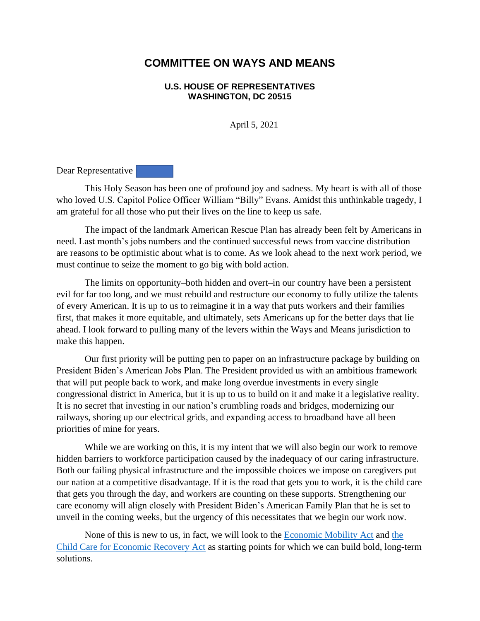## **COMMITTEE ON WAYS AND MEANS**

## **U.S. HOUSE OF REPRESENTATIVES WASHINGTON, DC 20515**

April 5, 2021

Dear Representative

This Holy Season has been one of profound joy and sadness. My heart is with all of those who loved U.S. Capitol Police Officer William "Billy" Evans. Amidst this unthinkable tragedy, I am grateful for all those who put their lives on the line to keep us safe.

The impact of the landmark American Rescue Plan has already been felt by Americans in need. Last month's jobs numbers and the continued successful news from vaccine distribution are reasons to be optimistic about what is to come. As we look ahead to the next work period, we must continue to seize the moment to go big with bold action.

The limits on opportunity–both hidden and overt–in our country have been a persistent evil for far too long, and we must rebuild and restructure our economy to fully utilize the talents of every American. It is up to us to reimagine it in a way that puts workers and their families first, that makes it more equitable, and ultimately, sets Americans up for the better days that lie ahead. I look forward to pulling many of the levers within the Ways and Means jurisdiction to make this happen.

Our first priority will be putting pen to paper on an infrastructure package by building on President Biden's American Jobs Plan. The President provided us with an ambitious framework that will put people back to work, and make long overdue investments in every single congressional district in America, but it is up to us to build on it and make it a legislative reality. It is no secret that investing in our nation's crumbling roads and bridges, modernizing our railways, shoring up our electrical grids, and expanding access to broadband have all been priorities of mine for years.

While we are working on this, it is my intent that we will also begin our work to remove hidden barriers to workforce participation caused by the inadequacy of our caring infrastructure. Both our failing physical infrastructure and the impossible choices we impose on caregivers put our nation at a competitive disadvantage. If it is the road that gets you to work, it is the child care that gets you through the day, and workers are counting on these supports. Strengthening our care economy will align closely with President Biden's American Family Plan that he is set to unveil in the coming weeks, but the urgency of this necessitates that we begin our work now.

None of this is new to us, in fact, we will look to the [Economic Mobility Act](https://waysandmeans.house.gov/media-center/press-releases/neal-introduces-pro-worker-pro-family-tax-relief-legislation) and [the](https://waysandmeans.house.gov/media-center/press-releases/ways-means-and-appropriations-democrats-introduce-child-care-legislation)  [Child Care for Economic Recovery Act](https://waysandmeans.house.gov/media-center/press-releases/ways-means-and-appropriations-democrats-introduce-child-care-legislation) as starting points for which we can build bold, long-term solutions.